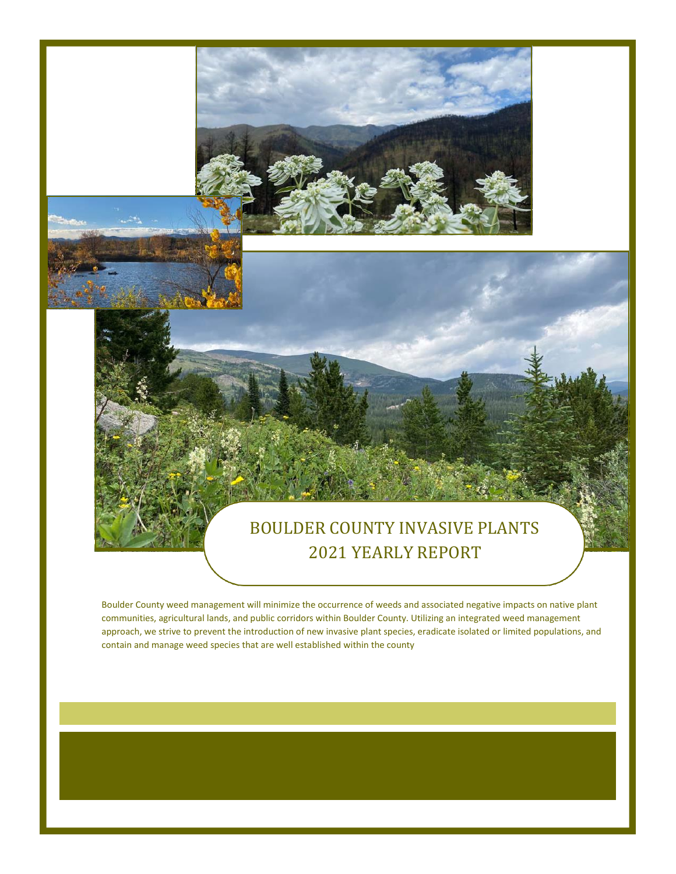### BOULDER COUNTY INVASIVE PLANTS 2021 YEARLY REPORT

Boulder County weed management will minimize the occurrence of weeds and associated negative impacts on native plant communities, agricultural lands, and public corridors within Boulder County. Utilizing an integrated weed management approach, we strive to prevent the introduction of new invasive plant species, eradicate isolated or limited populations, and contain and manage weed species that are well established within the county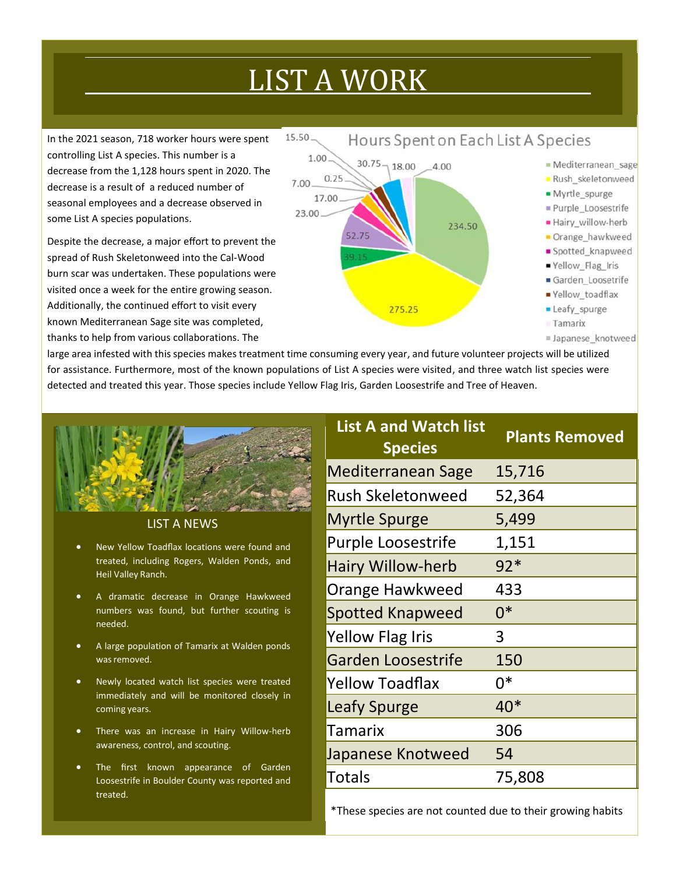## LIST A WORK

In the 2021 season, 718 worker hours were spent controlling List A species. This number is a decrease from the 1,128 hours spent in 2020. The decrease is a result of a reduced number of seasonal employees and a decrease observed in some List A species populations.

Despite the decrease, a major effort to prevent the spread of Rush Skeletonweed into the Cal‐Wood burn scar was undertaken. These populations were visited once a week for the entire growing season. Additionally, the continued effort to visit every known Mediterranean Sage site was completed, thanks to help from various collaborations. The



large area infested with this species makes treatment time consuming every year, and future volunteer projects will be utilized for assistance. Furthermore, most of the known populations of List A species were visited, and three watch list species were detected and treated this year. Those species include Yellow Flag Iris, Garden Loosestrife and Tree of Heaven.





- New Yellow Toadflax locations were found and treated, including Rogers, Walden Ponds, and Heil Valley Ranch.
- A dramatic decrease in Orange Hawkweed numbers was found, but further scouting is needed.
- A large population of Tamarix at Walden ponds was removed.
- Newly located watch list species were treated immediately and will be monitored closely in coming years.
- There was an increase in Hairy Willow-herb awareness, control, and scouting.
- The first known appearance of Garden Loosestrife in Boulder County was reported and treated.

| <b>List A and Watch list</b><br><b>Species</b> | <b>Plants Removed</b> |
|------------------------------------------------|-----------------------|
| <b>Mediterranean Sage</b>                      | 15,716                |
| <b>Rush Skeletonweed</b>                       | 52,364                |
| <b>Myrtle Spurge</b>                           | 5,499                 |
| <b>Purple Loosestrife</b>                      | 1,151                 |
| <b>Hairy Willow-herb</b>                       | $92*$                 |
| Orange Hawkweed                                | 433                   |
| <b>Spotted Knapweed</b>                        | $0*$                  |
| Yellow Flag Iris                               | 3                     |
| Garden Loosestrife                             | 150                   |
| <b>Yellow Toadflax</b>                         | በ*                    |
| <b>Leafy Spurge</b>                            | $40*$                 |
| Tamarix                                        | 306                   |
| Japanese Knotweed                              | 54                    |
| Totals                                         | 75,808                |

\*These species are not counted due to their growing habits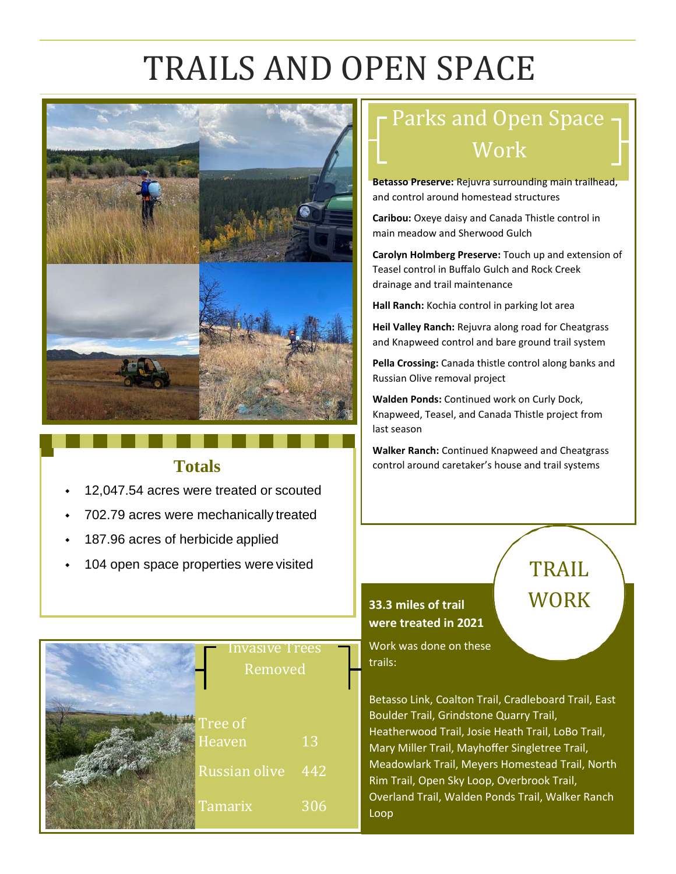## TRAILS AND OPEN SPACE



#### **Totals**

- 12,047.54 acres were treated or scouted
- 702.79 acres were mechanically treated
- 187.96 acres of herbicide applied
- 104 open space properties were visited



## Parks and Open Space Work

**Betasso Preserve:** Rejuvra surrounding main trailhead, and control around homestead structures

**Caribou:** Oxeye daisy and Canada Thistle control in main meadow and Sherwood Gulch

**Carolyn Holmberg Preserve:** Touch up and extension of Teasel control in Buffalo Gulch and Rock Creek drainage and trail maintenance

**Hall Ranch:** Kochia control in parking lot area

**Heil Valley Ranch:** Rejuvra along road for Cheatgrass and Knapweed control and bare ground trail system

**Pella Crossing:** Canada thistle control along banks and Russian Olive removal project

**Walden Ponds:** Continued work on Curly Dock, Knapweed, Teasel, and Canada Thistle project from last season

**Walker Ranch:** Continued Knapweed and Cheatgrass control around caretaker's house and trail systems

TRAIL

**WORK** 

### **33.3 miles of trail were treated in 2021**

Work was done on these trails:

Betasso Link, Coalton Trail, Cradleboard Trail, East Boulder Trail, Grindstone Quarry Trail, Heatherwood Trail, Josie Heath Trail, LoBo Trail, Mary Miller Trail, Mayhoffer Singletree Trail, Meadowlark Trail, Meyers Homestead Trail, North Rim Trail, Open Sky Loop, Overbrook Trail, Overland Trail, Walden Ponds Trail, Walker Ranch Loop